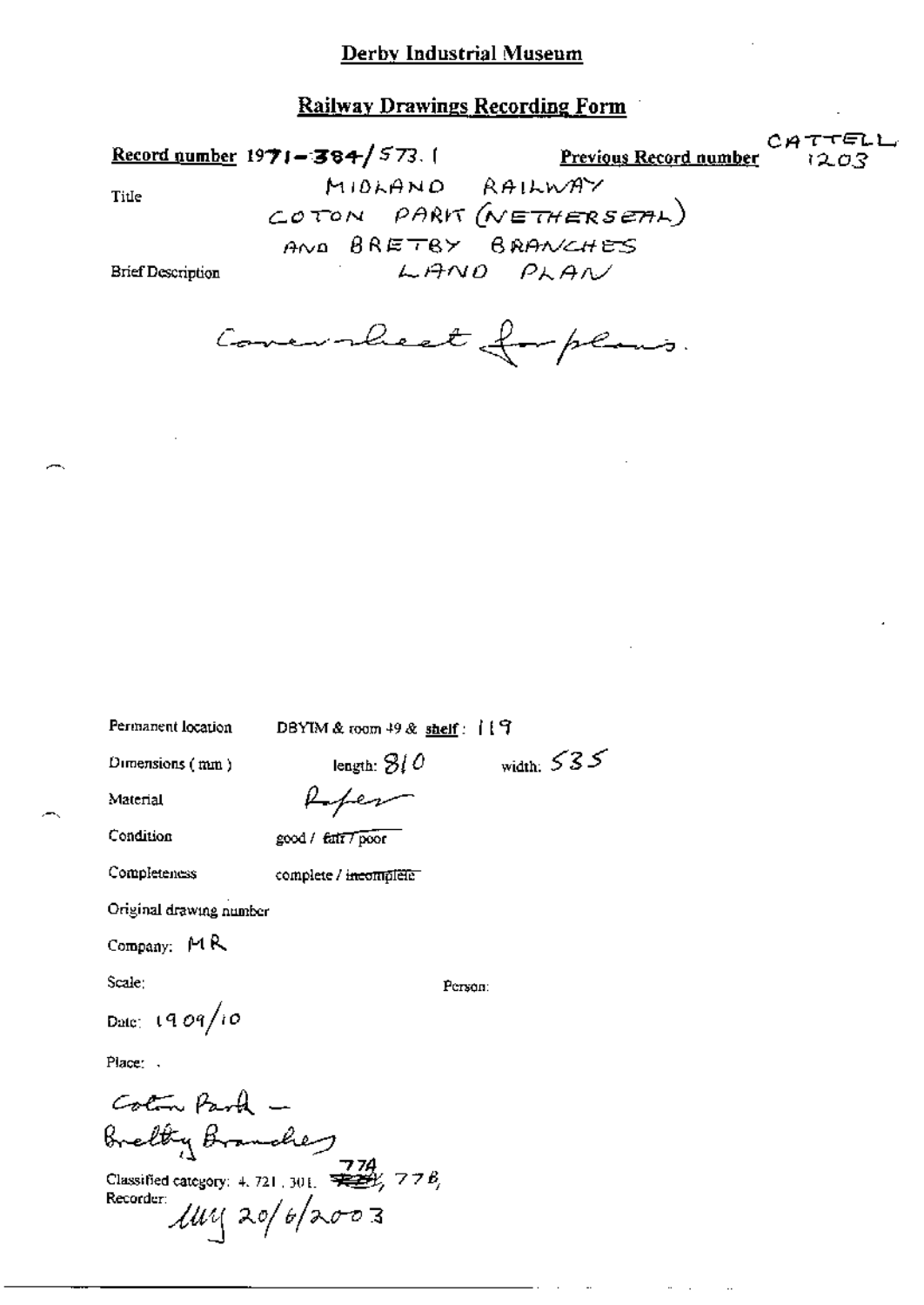**Railway Drawings Recording Form** 

CATTELL Record number  $1971 - 384 / 573$ . Previous Record number 1203 MIDLAND RAILWAY Title COTON PARK (NETHERSEAL) AND BRETBY BRANCHES LAND PLAN **Brief Description** 

Concurrent for plans.

Permanent location

DBYIM & toom 49 & shelf: 门宁

length:  $310$ 

Dimensions (mm)

Refer

Condition

Material

good / fatt / poor

Completeness

complete / incomplete

Original drawing number

Company:  $M R$ 

Scale:

Person:

width:  $535$ 

Date: 1909/10

Place: .

Coton Park -Brelty Branches<br>Classified category: 4.721.301. 728, 778,

Recorder  $\mu$  $\mu$  $\alpha$  20/6/2003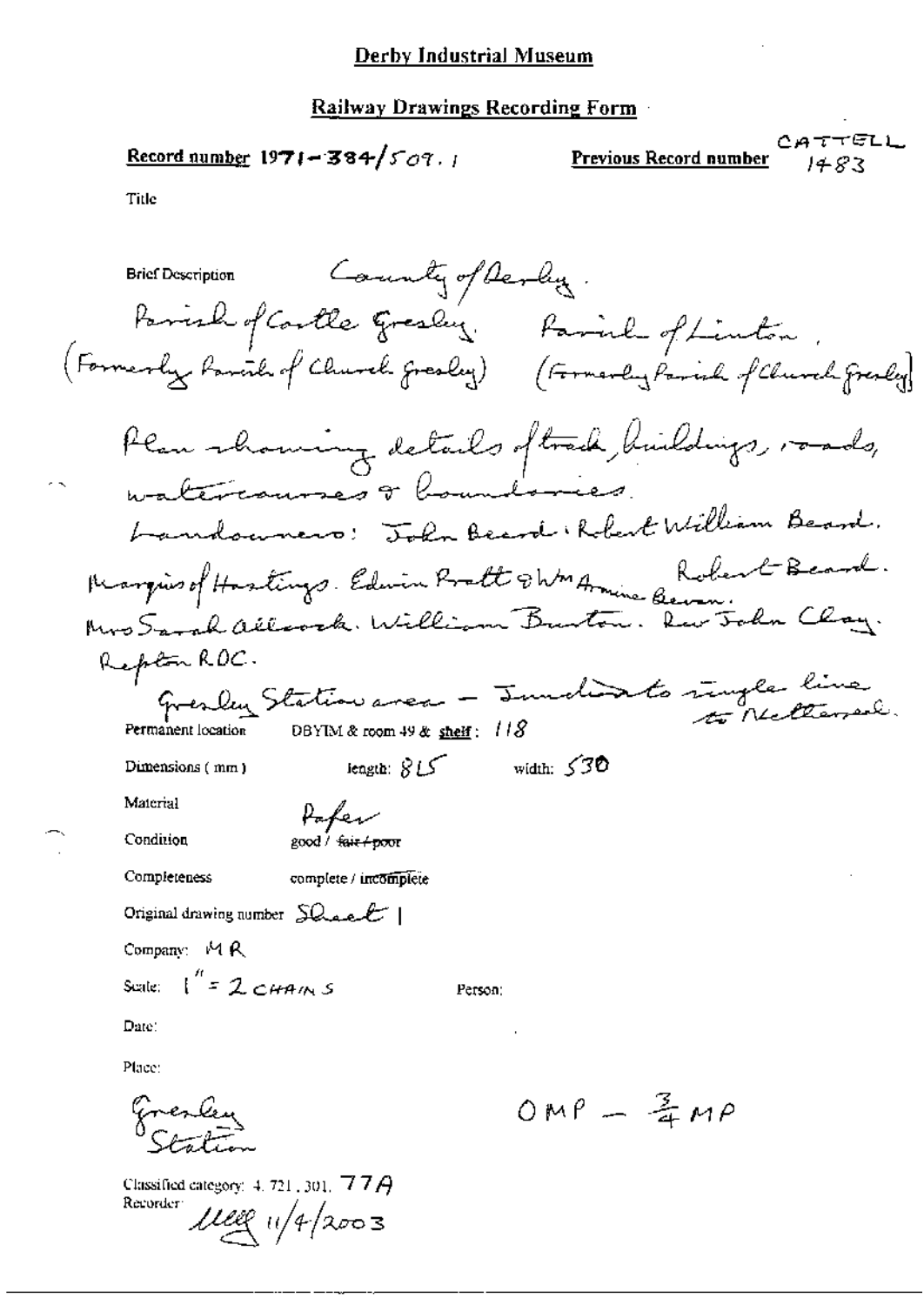# Railway Drawings Recording Form

Record number 1971-384/
$$
507
$$
.

CATTELL **Previous Record number** 

 $1483$ 

Title

|                                                    | Brief Description Community of Derly.                                                                                        |                |                                                          |  |
|----------------------------------------------------|------------------------------------------------------------------------------------------------------------------------------|----------------|----------------------------------------------------------|--|
|                                                    | Famale of Coulle Greeky.<br>(Formerly <i>Parcil of Church Gresley</i> )                                                      |                | Favorle of Linton.<br>(Formerly Parish of Church Greaty) |  |
|                                                    | Plan showing details of track buildings, roads,<br>watercourses or boundaries.                                               |                |                                                          |  |
|                                                    | Landouners: John Beard Robert William Beard.                                                                                 |                |                                                          |  |
|                                                    | Margins of Hastings. Edwin Pratt & WM Armine Benn: Clay.<br>Mrs Sarah allerak. William Burton. Rus Toda Clay.<br>Repton RDC. |                |                                                          |  |
|                                                    |                                                                                                                              |                |                                                          |  |
|                                                    |                                                                                                                              |                |                                                          |  |
| Permanent location                                 | Gresley Station avec - Junclinto ringle line                                                                                 |                |                                                          |  |
| Dimensions (mm)                                    | $i$ ength: $815$                                                                                                             | width: $530$   |                                                          |  |
| Material                                           | Paper                                                                                                                        |                |                                                          |  |
| Condition                                          | good / <del>fair/poor</del>                                                                                                  |                |                                                          |  |
| Completeness                                       | complete / incomplete                                                                                                        |                |                                                          |  |
| Original drawing number $SLaeE$                    |                                                                                                                              |                |                                                          |  |
| Company: MR                                        |                                                                                                                              |                |                                                          |  |
| Scale: $1'' = 2 \cos \omega s$                     |                                                                                                                              | Person:        |                                                          |  |
| Date:                                              |                                                                                                                              | $\blacksquare$ |                                                          |  |
| Place:                                             |                                                                                                                              |                |                                                          |  |
|                                                    |                                                                                                                              |                | $OMP - 2MP$                                              |  |
| Classified category: $4.721,301,777A$<br>Recorder: | $1120$ $11/4/2003$                                                                                                           |                |                                                          |  |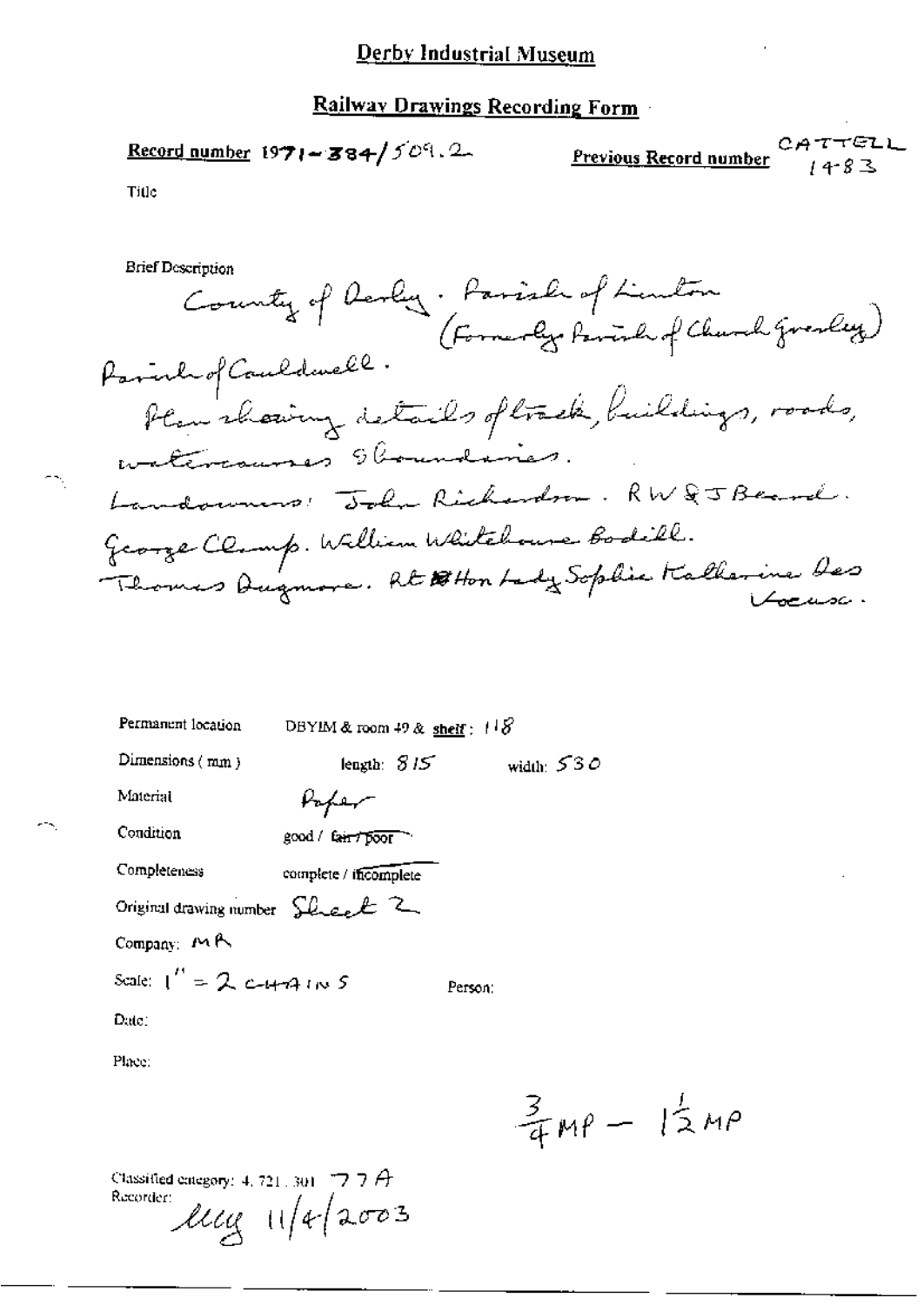# Railway Drawings Recording Form

**Previous Record number** 
$$
2A T T E L
$$
  
  $14-8$ 

Title

 $\widehat{\mathbb{Z}}$ 

45

**Brief Description** 

| Permanent location                                    | DBYIM & room 49 & shelf : $118$ |              |  |  |  |
|-------------------------------------------------------|---------------------------------|--------------|--|--|--|
| Dimensions $(mm)$                                     | length: $815$                   | width: $530$ |  |  |  |
| Material                                              | Vaper                           |              |  |  |  |
| Condition                                             | good / fair / poor              |              |  |  |  |
| Completeness                                          | complete / incomplete           |              |  |  |  |
| Original drawing number $\mathcal{L}_{\text{test}}$ 2 |                                 |              |  |  |  |
| Company: $M \wedge$                                   |                                 |              |  |  |  |
| Scale: $1'' = 2$ c-4-74 ( $\sim$ 5)                   |                                 | Person:      |  |  |  |
| Date :                                                |                                 |              |  |  |  |
| Place:                                                |                                 |              |  |  |  |

 $\frac{3}{4}MP - 12MP$ 

Classified energory: 4, 721, 301 7 7 7 A<br>Recorder:<br> $11/4$   $42003$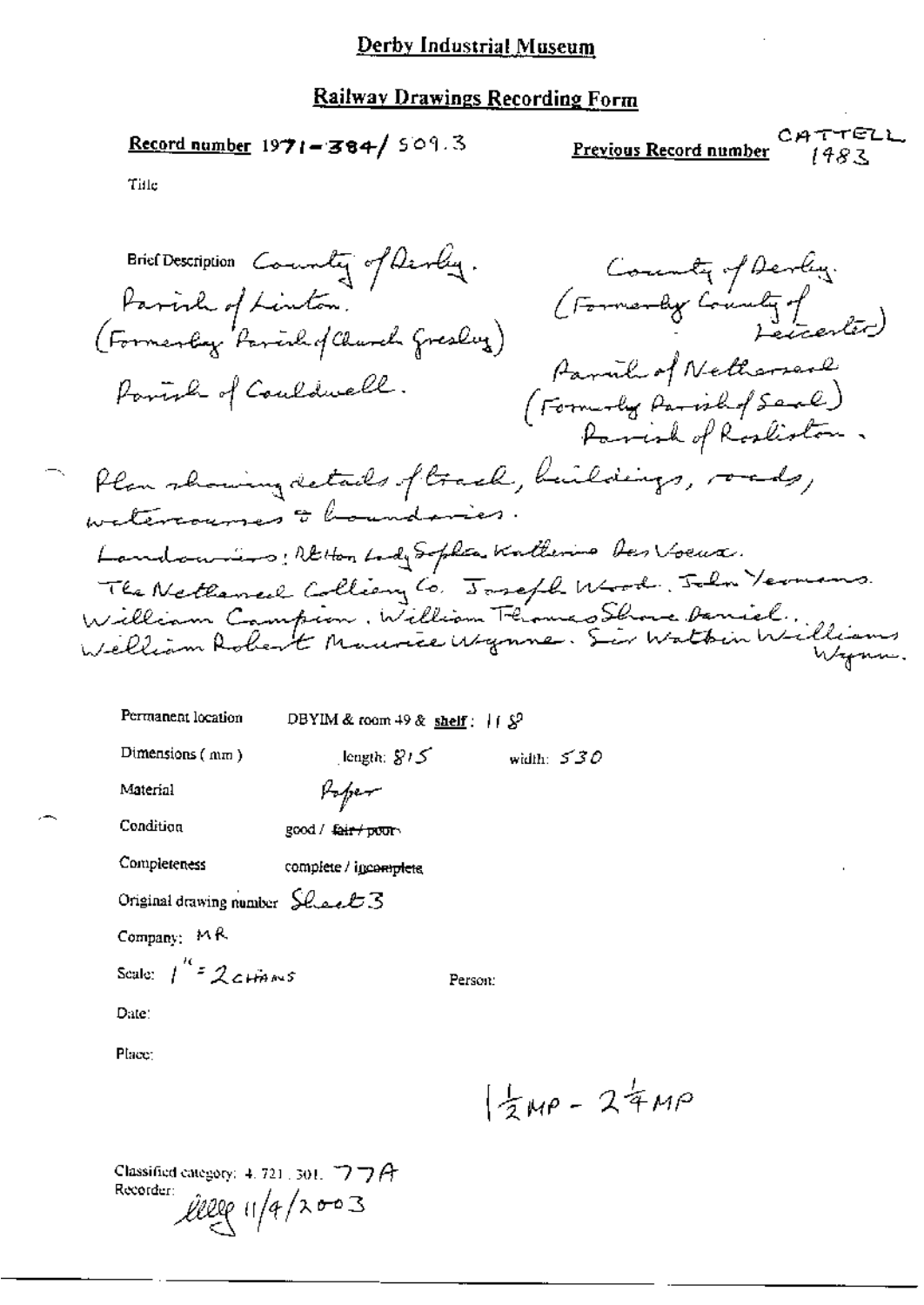#### Railway Drawings Recording Form

Record number 1971-384/509.3

CATTELL Previous Record number 1483

Title

Brief Description County of Devly. County of Devling. (Formerly County of Parish of Linton. (Formerly Parcil of Charch Gresley) Parail of Nethersonly Powerl of Couldwell. (Formoly Parishof Seal)<br>Parish of Rosliston, Plan showing details of track, buildings, roads, watercourses & houndaries. Landonnino: Retton Lady Sophia Katherine Des Voeux. The Netherned Colliany Co. Joseph Wood, John Vermans. William Campion, William Flames Showe Deniel.<br>Welliam Robert Maurice Wynne. Sir Watten Williams Permanent location DBYIM & room 49 & shelf:  $112^9$ 

width:  $530$ 

 $length: 815$ 

Dimensions (mm)

Material

Poper

Condition good / <del>fair / pour</del>

complete / igcomplets

Original drawing number  $SLAL3$ 

Company: MR

Completeness

Scale:  $\int_0^{R}$  2 CHANS

Person:

Date:

Place:

 $\frac{1}{2}MP - 24MP$ 

Classified category: 4, 721, 301,  $\bigtriangledown$   $\bigtriangledown$   $\bigoplus$ Recorder:  $l l l l c$  11/4/2003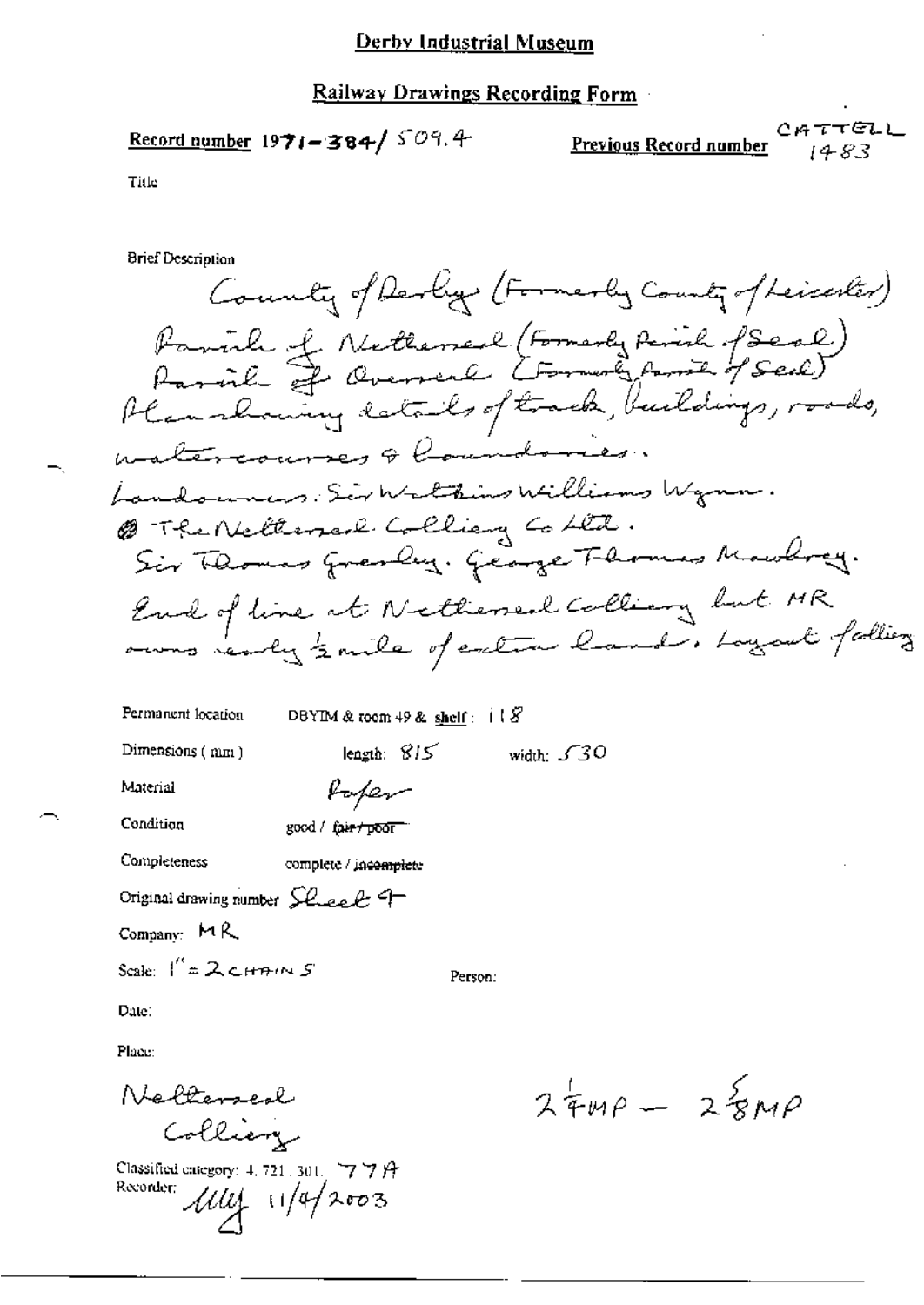### Railway Drawings Recording Form

Record number  $1971 - 384 / 509.4$ 

CATTELL Previous Record number 1483

Title

**Brief Description** 

County of Derby (Formerly County of Leicenter) Paril of Nethersel (Formerly Parish (Seal)<br>Parish of Oversel (Formerly Amich of Seal) Plan showing data be of track, buildings, roads, matercourses & Coundaries. Landounes. Sir Walthins Williams Wynn. @ The Netterserl Colliany Cohta. Sir Thomas Grenbey. George Fhomas Mowhrey. Earl of line at Netherseal Colling but MR owns ready zoute of extra hand, Loyant falling

| Permanent location                                         | DBYIM & toom 49 & shelf: $\mathbf{i} \mathbf{l} \mathbf{S}$ |         |                    |  |  |
|------------------------------------------------------------|-------------------------------------------------------------|---------|--------------------|--|--|
| Dimensions $(mn)$                                          | length: $815$                                               |         | width: $\sqrt{30}$ |  |  |
| Material                                                   | Rofer                                                       |         |                    |  |  |
| Condition                                                  | good / fair / poor "                                        |         |                    |  |  |
| Completeness                                               | complete / incomplete                                       |         |                    |  |  |
| Original drawing number $\mathcal{L}\text{-}\mathcal{L}$ = |                                                             |         |                    |  |  |
| Company: $MA$                                              |                                                             |         |                    |  |  |
| Scale: $1^{\prime\prime}$ = 2 cHAINS                       |                                                             | Person: |                    |  |  |
| Date.                                                      |                                                             |         |                    |  |  |

Place:

Nelterseal Colliery

Classified category: 4, 721, 301,  $\forall$   $\forall$   $\forall$   $\forall$ Recorder:  $\mathcal{U}\mathcal{U}$  11/4/2003

 $24mp - 25mp$